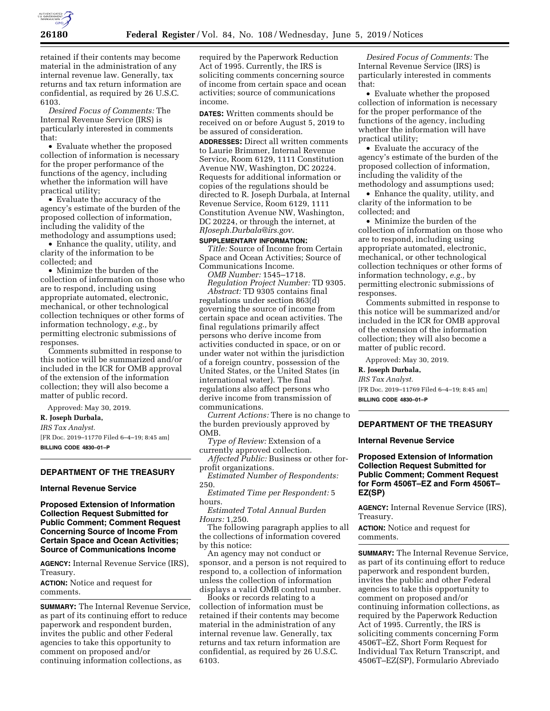

retained if their contents may become material in the administration of any internal revenue law. Generally, tax returns and tax return information are confidential, as required by 26 U.S.C. 6103.

*Desired Focus of Comments:* The Internal Revenue Service (IRS) is particularly interested in comments that:

• Evaluate whether the proposed collection of information is necessary for the proper performance of the functions of the agency, including whether the information will have practical utility;

• Evaluate the accuracy of the agency's estimate of the burden of the proposed collection of information, including the validity of the methodology and assumptions used;

• Enhance the quality, utility, and clarity of the information to be collected; and

• Minimize the burden of the collection of information on those who are to respond, including using appropriate automated, electronic, mechanical, or other technological collection techniques or other forms of information technology, *e.g.,* by permitting electronic submissions of responses.

Comments submitted in response to this notice will be summarized and/or included in the ICR for OMB approval of the extension of the information collection; they will also become a matter of public record.

Approved: May 30, 2019.

**R. Joseph Durbala,** 

*IRS Tax Analyst.* 

[FR Doc. 2019–11770 Filed 6–4–19; 8:45 am] **BILLING CODE 4830–01–P** 

## **DEPARTMENT OF THE TREASURY**

## **Internal Revenue Service**

**Proposed Extension of Information Collection Request Submitted for Public Comment; Comment Request Concerning Source of Income From Certain Space and Ocean Activities; Source of Communications Income** 

**AGENCY:** Internal Revenue Service (IRS), Treasury.

**ACTION:** Notice and request for comments.

**SUMMARY:** The Internal Revenue Service, as part of its continuing effort to reduce paperwork and respondent burden, invites the public and other Federal agencies to take this opportunity to comment on proposed and/or continuing information collections, as

required by the Paperwork Reduction Act of 1995. Currently, the IRS is soliciting comments concerning source of income from certain space and ocean activities; source of communications income.

**DATES:** Written comments should be received on or before August 5, 2019 to be assured of consideration.

**ADDRESSES:** Direct all written comments to Laurie Brimmer, Internal Revenue Service, Room 6129, 1111 Constitution Avenue NW, Washington, DC 20224. Requests for additional information or copies of the regulations should be directed to R. Joseph Durbala, at Internal Revenue Service, Room 6129, 1111 Constitution Avenue NW, Washington, DC 20224, or through the internet, at *[RJoseph.Durbala@irs.gov.](mailto:RJoseph.Durbala@irs.gov)* 

# **SUPPLEMENTARY INFORMATION:**

*Title:* Source of Income from Certain Space and Ocean Activities; Source of Communications Income. *OMB Number:* 1545–1718.

*Regulation Project Number:* TD 9305. *Abstract:* TD 9305 contains final regulations under section 863(d) governing the source of income from certain space and ocean activities. The final regulations primarily affect persons who derive income from activities conducted in space, or on or under water not within the jurisdiction of a foreign country, possession of the United States, or the United States (in international water). The final regulations also affect persons who derive income from transmission of communications.

*Current Actions:* There is no change to the burden previously approved by OMB.

*Type of Review:* Extension of a currently approved collection.

*Affected Public:* Business or other forprofit organizations.

*Estimated Number of Respondents:*  250.

*Estimated Time per Respondent:* 5 hours.

*Estimated Total Annual Burden Hours:* 1,250.

The following paragraph applies to all the collections of information covered by this notice:

An agency may not conduct or sponsor, and a person is not required to respond to, a collection of information unless the collection of information displays a valid OMB control number.

Books or records relating to a collection of information must be retained if their contents may become material in the administration of any internal revenue law. Generally, tax returns and tax return information are confidential, as required by 26 U.S.C. 6103.

*Desired Focus of Comments:* The Internal Revenue Service (IRS) is particularly interested in comments that:

• Evaluate whether the proposed collection of information is necessary for the proper performance of the functions of the agency, including whether the information will have practical utility;

• Evaluate the accuracy of the agency's estimate of the burden of the proposed collection of information, including the validity of the methodology and assumptions used;

• Enhance the quality, utility, and clarity of the information to be collected; and

• Minimize the burden of the collection of information on those who are to respond, including using appropriate automated, electronic, mechanical, or other technological collection techniques or other forms of information technology, *e.g.,* by permitting electronic submissions of responses.

Comments submitted in response to this notice will be summarized and/or included in the ICR for OMB approval of the extension of the information collection; they will also become a matter of public record.

Approved: May 30, 2019.

**R. Joseph Durbala,** 

*IRS Tax Analyst.* 

[FR Doc. 2019–11769 Filed 6–4–19; 8:45 am] **BILLING CODE 4830–01–P** 

## **DEPARTMENT OF THE TREASURY**

## **Internal Revenue Service**

## **Proposed Extension of Information Collection Request Submitted for Public Comment; Comment Request for Form 4506T–EZ and Form 4506T– EZ(SP)**

**AGENCY:** Internal Revenue Service (IRS), Treasury.

**ACTION:** Notice and request for comments.

**SUMMARY:** The Internal Revenue Service, as part of its continuing effort to reduce paperwork and respondent burden, invites the public and other Federal agencies to take this opportunity to comment on proposed and/or continuing information collections, as required by the Paperwork Reduction Act of 1995. Currently, the IRS is soliciting comments concerning Form 4506T–EZ, Short Form Request for Individual Tax Return Transcript, and 4506T–EZ(SP), Formulario Abreviado